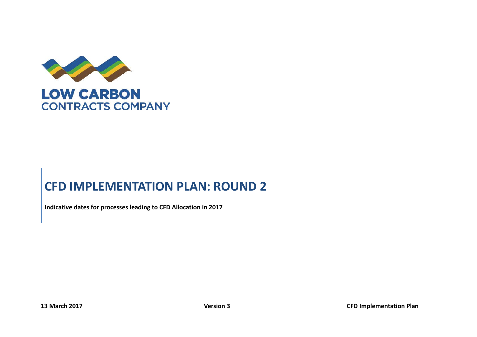

# **CFD IMPLEMENTATION PLAN: ROUND 2**

**Indicative dates for processes leading to CFD Allocation in 2017**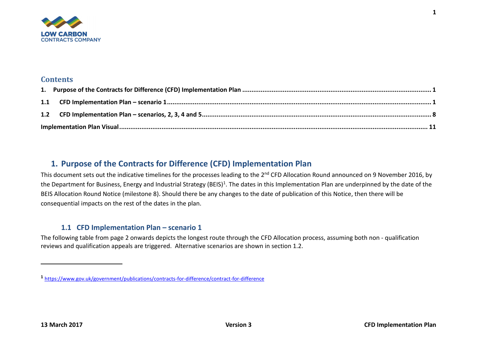

#### **Contents**

## <span id="page-1-0"></span>**1. Purpose of the Contracts for Difference (CFD) Implementation Plan**

This document sets out the indicative timelines for the processes leading to the 2<sup>nd</sup> CFD Allocation Round announced on 9 November 2016, by the Department for Business, Energy and Industrial Strategy (BEIS)<sup>1</sup>. The dates in this Implementation Plan are underpinned by the date of the BEIS Allocation Round Notice (milestone 8). Should there be any changes to the date of publication of this Notice, then there will be consequential impacts on the rest of the dates in the plan.

### <span id="page-1-1"></span>**1.1 CFD Implementation Plan – scenario 1**

The following table from page 2 onwards depicts the longest route through the CFD Allocation process, assuming both non - qualification reviews and qualification appeals are triggered. Alternative scenarios are shown in section 1.2.

**1**

**<sup>1</sup>** <https://www.gov.uk/government/publications/contracts-for-difference/contract-for-difference>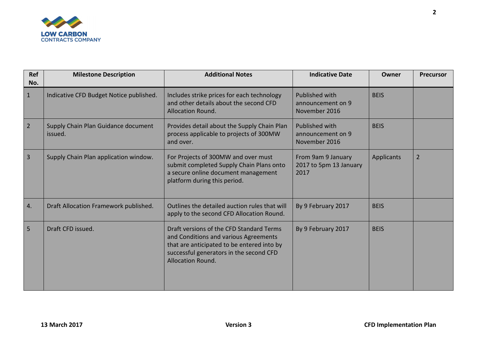

| <b>Ref</b><br>No. | <b>Milestone Description</b>                   | <b>Additional Notes</b>                                                                                                                                                                                | <b>Indicative Date</b>                                      | Owner       | <b>Precursor</b> |
|-------------------|------------------------------------------------|--------------------------------------------------------------------------------------------------------------------------------------------------------------------------------------------------------|-------------------------------------------------------------|-------------|------------------|
| $\mathbf{1}$      | Indicative CFD Budget Notice published.        | Includes strike prices for each technology<br>and other details about the second CFD<br><b>Allocation Round.</b>                                                                                       | <b>Published with</b><br>announcement on 9<br>November 2016 | <b>BEIS</b> |                  |
| $\overline{2}$    | Supply Chain Plan Guidance document<br>issued. | Provides detail about the Supply Chain Plan<br>process applicable to projects of 300MW<br>and over.                                                                                                    | <b>Published with</b><br>announcement on 9<br>November 2016 | <b>BEIS</b> |                  |
| $\overline{3}$    | Supply Chain Plan application window.          | For Projects of 300MW and over must<br>submit completed Supply Chain Plans onto<br>a secure online document management<br>platform during this period.                                                 | From 9am 9 January<br>2017 to 5pm 13 January<br>2017        | Applicants  | 2                |
| 4.                | Draft Allocation Framework published.          | Outlines the detailed auction rules that will<br>apply to the second CFD Allocation Round.                                                                                                             | By 9 February 2017                                          | <b>BEIS</b> |                  |
| 5                 | Draft CFD issued.                              | Draft versions of the CFD Standard Terms<br>and Conditions and various Agreements<br>that are anticipated to be entered into by<br>successful generators in the second CFD<br><b>Allocation Round.</b> | By 9 February 2017                                          | <b>BEIS</b> |                  |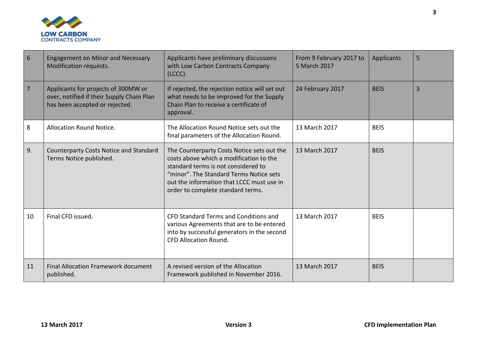

| 6  | <b>Engagement on Minor and Necessary</b><br>Modification requests.                                                 | Applicants have preliminary discussions<br>with Low Carbon Contracts Company<br>(LCCC).                                                                                                                                                                   | From 9 February 2017 to<br>5 March 2017 | <b>Applicants</b> | 5              |
|----|--------------------------------------------------------------------------------------------------------------------|-----------------------------------------------------------------------------------------------------------------------------------------------------------------------------------------------------------------------------------------------------------|-----------------------------------------|-------------------|----------------|
| 7  | Applicants for projects of 300MW or<br>over, notified if their Supply Chain Plan<br>has been accepted or rejected. | If rejected, the rejection notice will set out<br>what needs to be improved for the Supply<br>Chain Plan to receive a certificate of<br>approval.                                                                                                         | 24 February 2017                        | <b>BEIS</b>       | $\overline{3}$ |
| 8  | Allocation Round Notice.                                                                                           | The Allocation Round Notice sets out the<br>final parameters of the Allocation Round.                                                                                                                                                                     | 13 March 2017                           | <b>BEIS</b>       |                |
| 9. | <b>Counterparty Costs Notice and Standard</b><br>Terms Notice published.                                           | The Counterparty Costs Notice sets out the<br>costs above which a modification to the<br>standard terms is not considered to<br>"minor". The Standard Terms Notice sets<br>out the information that LCCC must use in<br>order to complete standard terms. | 13 March 2017                           | <b>BEIS</b>       |                |
| 10 | Final CFD issued.                                                                                                  | CFD Standard Terms and Conditions and<br>various Agreements that are to be entered<br>into by successful generators in the second<br><b>CFD Allocation Round.</b>                                                                                         | 13 March 2017                           | <b>BEIS</b>       |                |
| 11 | <b>Final Allocation Framework document</b><br>published.                                                           | A revised version of the Allocation<br>Framework published in November 2016.                                                                                                                                                                              | 13 March 2017                           | <b>BEIS</b>       |                |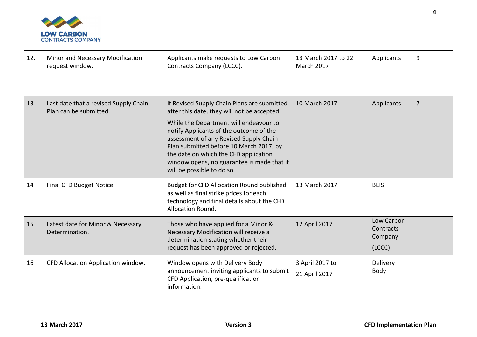

| 12. | Minor and Necessary Modification<br>request window.             | Applicants make requests to Low Carbon<br>Contracts Company (LCCC).                                                                                                                                                                                                                                                                                                                       | 13 March 2017 to 22<br>March 2017 | Applicants                                   | 9              |
|-----|-----------------------------------------------------------------|-------------------------------------------------------------------------------------------------------------------------------------------------------------------------------------------------------------------------------------------------------------------------------------------------------------------------------------------------------------------------------------------|-----------------------------------|----------------------------------------------|----------------|
| 13  | Last date that a revised Supply Chain<br>Plan can be submitted. | If Revised Supply Chain Plans are submitted<br>after this date, they will not be accepted.<br>While the Department will endeavour to<br>notify Applicants of the outcome of the<br>assessment of any Revised Supply Chain<br>Plan submitted before 10 March 2017, by<br>the date on which the CFD application<br>window opens, no guarantee is made that it<br>will be possible to do so. | 10 March 2017                     | Applicants                                   | $\overline{7}$ |
| 14  | Final CFD Budget Notice.                                        | <b>Budget for CFD Allocation Round published</b><br>as well as final strike prices for each<br>technology and final details about the CFD<br><b>Allocation Round.</b>                                                                                                                                                                                                                     | 13 March 2017                     | <b>BEIS</b>                                  |                |
| 15  | Latest date for Minor & Necessary<br>Determination.             | Those who have applied for a Minor &<br>Necessary Modification will receive a<br>determination stating whether their<br>request has been approved or rejected.                                                                                                                                                                                                                            | 12 April 2017                     | Low Carbon<br>Contracts<br>Company<br>(LCCC) |                |
| 16  | CFD Allocation Application window.                              | Window opens with Delivery Body<br>announcement inviting applicants to submit<br>CFD Application, pre-qualification<br>information.                                                                                                                                                                                                                                                       | 3 April 2017 to<br>21 April 2017  | Delivery<br>Body                             |                |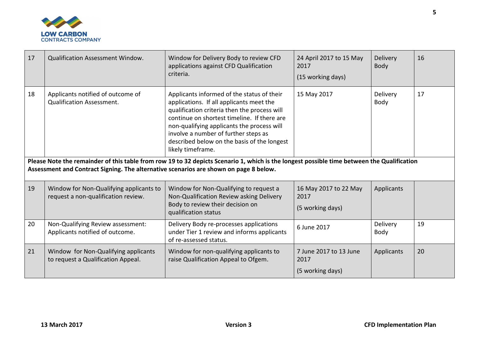

| 17 | <b>Qualification Assessment Window.</b>                                               | Window for Delivery Body to review CFD<br>applications against CFD Qualification<br>criteria.                                                                                                                                                                                                                                                                                                                                                                                                 | 24 April 2017 to 15 May<br>2017<br>(15 working days) | <b>Delivery</b><br>Body | 16 |
|----|---------------------------------------------------------------------------------------|-----------------------------------------------------------------------------------------------------------------------------------------------------------------------------------------------------------------------------------------------------------------------------------------------------------------------------------------------------------------------------------------------------------------------------------------------------------------------------------------------|------------------------------------------------------|-------------------------|----|
| 18 | Applicants notified of outcome of<br><b>Qualification Assessment.</b>                 | Applicants informed of the status of their<br>applications. If all applicants meet the<br>qualification criteria then the process will<br>continue on shortest timeline. If there are<br>non-qualifying applicants the process will<br>involve a number of further steps as<br>described below on the basis of the longest<br>likely timeframe.<br>Please Note the remainder of this table from row 19 to 32 depicts Scenario 1, which is the longest possible time between the Qualification | 15 May 2017                                          | Delivery<br>Body        | 17 |
|    | Assessment and Contract Signing. The alternative scenarios are shown on page 8 below. |                                                                                                                                                                                                                                                                                                                                                                                                                                                                                               |                                                      |                         |    |
| 19 | Window for Non-Qualifying applicants to<br>request a non-qualification review.        | Window for Non-Qualifying to request a<br>Non-Qualification Review asking Delivery<br>Body to review their decision on<br>qualification status                                                                                                                                                                                                                                                                                                                                                | 16 May 2017 to 22 May<br>2017<br>(5 working days)    | Applicants              |    |
| 20 | Non-Qualifying Review assessment:<br>Applicants notified of outcome.                  | Delivery Body re-processes applications<br>under Tier 1 review and informs applicants<br>of re-assessed status.                                                                                                                                                                                                                                                                                                                                                                               | 6 June 2017                                          | Delivery<br>Body        | 19 |
| 21 | Window for Non-Qualifying applicants<br>to request a Qualification Appeal.            | Window for non-qualifying applicants to<br>raise Qualification Appeal to Ofgem.                                                                                                                                                                                                                                                                                                                                                                                                               | 7 June 2017 to 13 June<br>2017<br>(5 working days)   | Applicants              | 20 |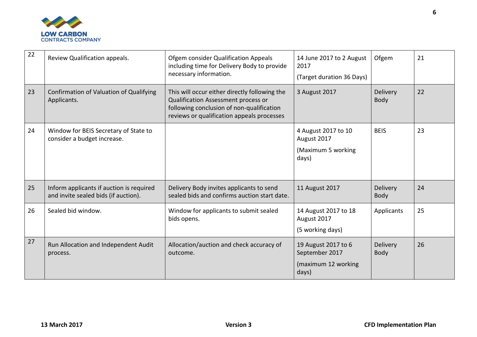

| 22 | Review Qualification appeals.                                                    | Ofgem consider Qualification Appeals<br>including time for Delivery Body to provide<br>necessary information.                                                                   | 14 June 2017 to 2 August<br>2017<br>(Target duration 36 Days)         | Ofgem                   | 21 |
|----|----------------------------------------------------------------------------------|---------------------------------------------------------------------------------------------------------------------------------------------------------------------------------|-----------------------------------------------------------------------|-------------------------|----|
| 23 | Confirmation of Valuation of Qualifying<br>Applicants.                           | This will occur either directly following the<br>Qualification Assessment process or<br>following conclusion of non-qualification<br>reviews or qualification appeals processes | 3 August 2017                                                         | Delivery<br>Body        | 22 |
| 24 | Window for BEIS Secretary of State to<br>consider a budget increase.             |                                                                                                                                                                                 | 4 August 2017 to 10<br>August 2017<br>(Maximum 5 working<br>days)     | <b>BEIS</b>             | 23 |
| 25 | Inform applicants if auction is required<br>and invite sealed bids (if auction). | Delivery Body invites applicants to send<br>sealed bids and confirms auction start date.                                                                                        | 11 August 2017                                                        | <b>Delivery</b><br>Body | 24 |
| 26 | Sealed bid window.                                                               | Window for applicants to submit sealed<br>bids opens.                                                                                                                           | 14 August 2017 to 18<br>August 2017<br>(5 working days)               | Applicants              | 25 |
| 27 | Run Allocation and Independent Audit<br>process.                                 | Allocation/auction and check accuracy of<br>outcome.                                                                                                                            | 19 August 2017 to 6<br>September 2017<br>(maximum 12 working<br>days) | Delivery<br>Body        | 26 |

**6**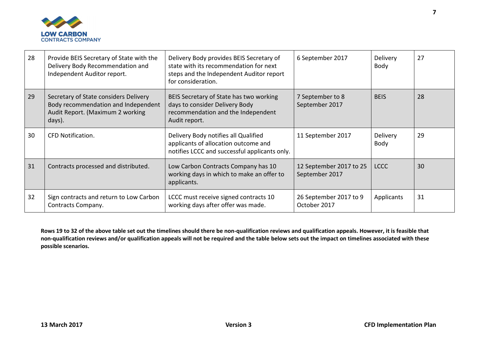

| 28 | Provide BEIS Secretary of State with the<br>Delivery Body Recommendation and<br>Independent Auditor report.                | Delivery Body provides BEIS Secretary of<br>state with its recommendation for next<br>steps and the Independent Auditor report<br>for consideration. | 6 September 2017                          | <b>Delivery</b><br>Body | 27 |
|----|----------------------------------------------------------------------------------------------------------------------------|------------------------------------------------------------------------------------------------------------------------------------------------------|-------------------------------------------|-------------------------|----|
| 29 | Secretary of State considers Delivery<br>Body recommendation and Independent<br>Audit Report. (Maximum 2 working<br>days). | BEIS Secretary of State has two working<br>days to consider Delivery Body<br>recommendation and the Independent<br>Audit report.                     | 7 September to 8<br>September 2017        | <b>BEIS</b>             | 28 |
| 30 | <b>CFD Notification.</b>                                                                                                   | Delivery Body notifies all Qualified<br>applicants of allocation outcome and<br>notifies LCCC and successful applicants only.                        | 11 September 2017                         | Delivery<br>Body        | 29 |
| 31 | Contracts processed and distributed.                                                                                       | Low Carbon Contracts Company has 10<br>working days in which to make an offer to<br>applicants.                                                      | 12 September 2017 to 25<br>September 2017 | <b>LCCC</b>             | 30 |
| 32 | Sign contracts and return to Low Carbon<br>Contracts Company.                                                              | LCCC must receive signed contracts 10<br>working days after offer was made.                                                                          | 26 September 2017 to 9<br>October 2017    | Applicants              | 31 |

**Rows 19 to 32 of the above table set out the timelines should there be non-qualification reviews and qualification appeals. However, it is feasible that non-qualification reviews and/or qualification appeals will not be required and the table below sets out the impact on timelines associated with these possible scenarios.**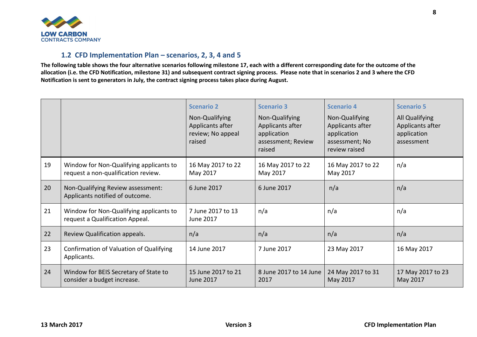

#### <span id="page-8-0"></span>**1.2 CFD Implementation Plan – scenarios, 2, 3, 4 and 5**

**The following table shows the four alternative scenarios following milestone 17, each with a different corresponding date for the outcome of the allocation (i.e. the CFD Notification, milestone 31) and subsequent contract signing process. Please note that in scenarios 2 and 3 where the CFD Notification is sent to generators in July, the contract signing process takes place during August.**

|    |                                                                                | <b>Scenario 2</b><br>Non-Qualifying<br>Applicants after<br>review; No appeal<br>raised | <b>Scenario 3</b><br>Non-Qualifying<br>Applicants after<br>application<br>assessment; Review<br>raised | <b>Scenario 4</b><br>Non-Qualifying<br>Applicants after<br>application<br>assessment; No<br>review raised | <b>Scenario 5</b><br>All Qualifying<br>Applicants after<br>application<br>assessment |
|----|--------------------------------------------------------------------------------|----------------------------------------------------------------------------------------|--------------------------------------------------------------------------------------------------------|-----------------------------------------------------------------------------------------------------------|--------------------------------------------------------------------------------------|
| 19 | Window for Non-Qualifying applicants to<br>request a non-qualification review. | 16 May 2017 to 22<br>May 2017                                                          | 16 May 2017 to 22<br>May 2017                                                                          | 16 May 2017 to 22<br>May 2017                                                                             | n/a                                                                                  |
| 20 | Non-Qualifying Review assessment:<br>Applicants notified of outcome.           | 6 June 2017                                                                            | 6 June 2017                                                                                            | n/a                                                                                                       | n/a                                                                                  |
| 21 | Window for Non-Qualifying applicants to<br>request a Qualification Appeal.     | 7 June 2017 to 13<br>June 2017                                                         | n/a                                                                                                    | n/a                                                                                                       | n/a                                                                                  |
| 22 | Review Qualification appeals.                                                  | n/a                                                                                    | n/a                                                                                                    | n/a                                                                                                       | n/a                                                                                  |
| 23 | Confirmation of Valuation of Qualifying<br>Applicants.                         | 14 June 2017                                                                           | 7 June 2017                                                                                            | 23 May 2017                                                                                               | 16 May 2017                                                                          |
| 24 | Window for BEIS Secretary of State to<br>consider a budget increase.           | 15 June 2017 to 21<br>June 2017                                                        | 8 June 2017 to 14 June<br>2017                                                                         | 24 May 2017 to 31<br>May 2017                                                                             | 17 May 2017 to 23<br>May 2017                                                        |

**8**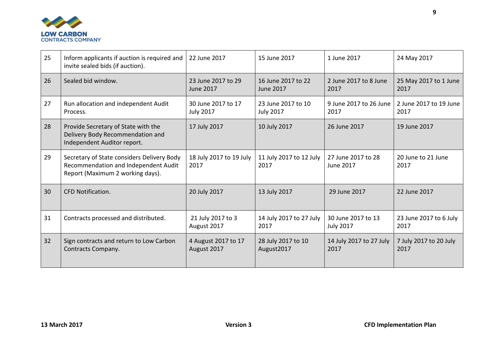

| 25 | Inform applicants if auction is required and<br>invite sealed bids (if auction).                                       | 22 June 2017                           | 15 June 2017                           | 1 June 2017                            | 24 May 2017                    |
|----|------------------------------------------------------------------------------------------------------------------------|----------------------------------------|----------------------------------------|----------------------------------------|--------------------------------|
| 26 | Sealed bid window.                                                                                                     | 23 June 2017 to 29<br><b>June 2017</b> | 16 June 2017 to 22<br><b>June 2017</b> | 2 June 2017 to 8 June<br>2017          | 25 May 2017 to 1 June<br>2017  |
| 27 | Run allocation and independent Audit<br>Process.                                                                       | 30 June 2017 to 17<br><b>July 2017</b> | 23 June 2017 to 10<br><b>July 2017</b> | 9 June 2017 to 26 June<br>2017         | 2 June 2017 to 19 June<br>2017 |
| 28 | Provide Secretary of State with the<br>Delivery Body Recommendation and<br>Independent Auditor report.                 | 17 July 2017                           | 10 July 2017                           | 26 June 2017                           | 19 June 2017                   |
| 29 | Secretary of State considers Delivery Body<br>Recommendation and Independent Audit<br>Report (Maximum 2 working days). | 18 July 2017 to 19 July<br>2017        | 11 July 2017 to 12 July<br>2017        | 27 June 2017 to 28<br><b>June 2017</b> | 20 June to 21 June<br>2017     |
| 30 | <b>CFD Notification.</b>                                                                                               | 20 July 2017                           | 13 July 2017                           | 29 June 2017                           | 22 June 2017                   |
| 31 | Contracts processed and distributed.                                                                                   | 21 July 2017 to 3<br>August 2017       | 14 July 2017 to 27 July<br>2017        | 30 June 2017 to 13<br><b>July 2017</b> | 23 June 2017 to 6 July<br>2017 |
| 32 | Sign contracts and return to Low Carbon<br>Contracts Company.                                                          | 4 August 2017 to 17<br>August 2017     | 28 July 2017 to 10<br>August2017       | 14 July 2017 to 27 July<br>2017        | 7 July 2017 to 20 July<br>2017 |